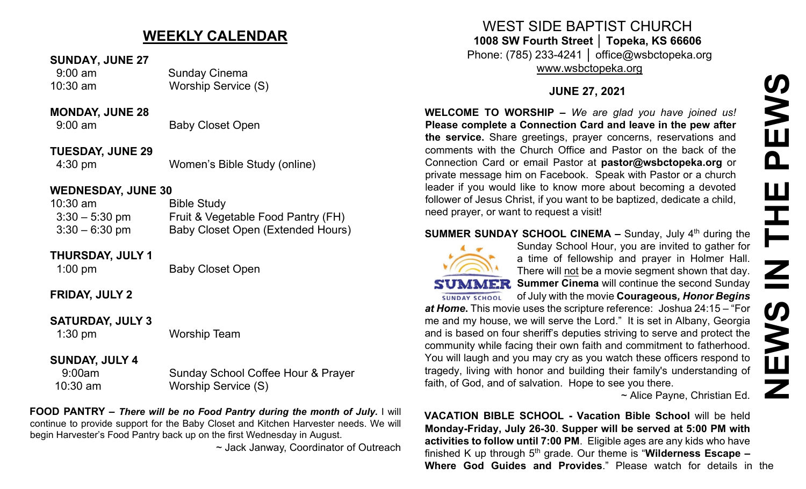# **WEEKLY CALENDAR**

### **SUNDAY, JUNE 27**

 9:00 am Sunday Cinema 10:30 am Worship Service (S)

#### **MONDAY, JUNE 28**

9:00 am Baby Closet Open

**TUESDAY, JUNE 29** 4:30 pm Women's Bible Study (online)

## **WEDNESDAY, JUNE 30**

| $10:30$ am       | <b>Bible Study</b>                 |
|------------------|------------------------------------|
| $3:30 - 5:30$ pm | Fruit & Vegetable Food Pantry (FH) |
| $3:30 - 6:30$ pm | Baby Closet Open (Extended Hours)  |

## **THURSDAY, JULY 1**

1:00 pm Baby Closet Open

## **FRIDAY, JULY 2**

## **SATURDAY, JULY 3**

1:30 pm Worship Team

## **SUNDAY, JULY 4**

9:00am Sunday School Coffee Hour & Prayer 10:30 am Worship Service (S)

**FOOD PANTRY –** *There will be no Food Pantry during the month of July.* I will continue to provide support for the Baby Closet and Kitchen Harvester needs. We will begin Harvester's Food Pantry back up on the first Wednesday in August.

~ Jack Janway, Coordinator of Outreach

WEST SIDE BAPTIST CHURCH **1008 SW Fourth Street │ Topeka, KS 66606** Phone: (785) 233-4241 │ office@wsbctopeka.org

[www.wsbctopeka.org](http://www.wsbctopeka.org/)

## **JUNE 27, 2021**

**WELCOME TO WORSHIP –** *We are glad you have joined us!* **Please complete a Connection Card and leave in the pew after the service.** Share greetings, prayer concerns, reservations and comments with the Church Office and Pastor on the back of the Connection Card or email Pastor at **pastor@wsbctopeka.org** or private message him on Facebook. [S](https://www.facebook.com/ivangreuter.)peak with Pastor or a church leader if you would like to know more about becoming a devoted follower of Jesus Christ, if you want to be baptized, dedicate a child, need prayer, or want to request a visit! **WHELCOME TO WORSHIP -** We are glad you have joined us!<br> **Please complete a Connection Card and leave in the pew after<br>
the service. Share greetings, prayer concerns, reservations and<br>
comments with the Church Office and P** 

## **SUMMER SUNDAY SCHOOL CINEMA –** Sunday, July 4<sup>th</sup> during the



Sunday School Hour, you are invited to gather for a time of fellowship and prayer in Holmer Hall. There will not be a movie segment shown that day. **SUMMER** Summer Cinema will continue the second Sunday of July with the movie **Courageous***, Honor Begins* 

*at Home***.** This movie uses the scripture reference: Joshua 24:15 – "For me and my house, we will serve the Lord." It is set in Albany, Georgia and is based on four sheriff's deputies striving to serve and protect the community while facing their own faith and commitment to fatherhood. You will laugh and you may cry as you watch these officers respond to tragedy, living with honor and building their family's understanding of faith, of God, and of salvation. Hope to see you there.

~ Alice Payne, Christian Ed.

**VACATION BIBLE SCHOOL - Vacation Bible School** will be held **Monday-Friday, July 26-30**. **Supper will be served at 5:00 PM with activities to follow until 7:00 PM**. Eligible ages are any kids who have finished K up through 5th grade. Our theme is "**Wilderness Escape –**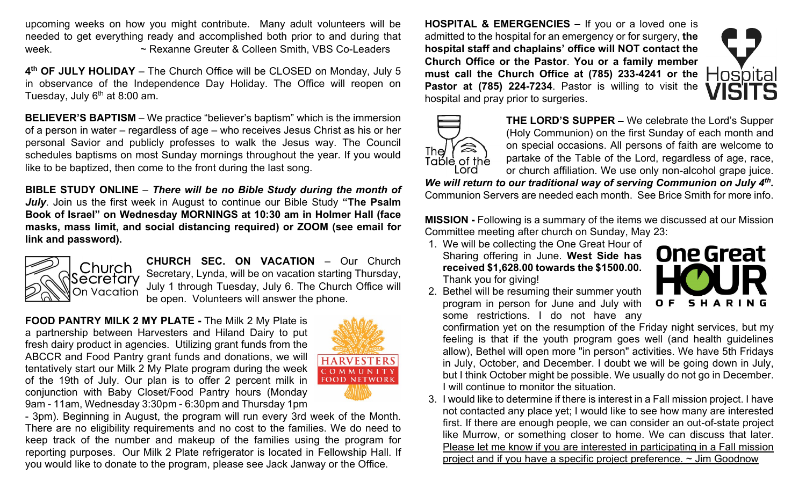upcoming weeks on how you might contribute. Many adult volunteers will be needed to get everything ready and accomplished both prior to and during that week. ~ Rexanne Greuter & Colleen Smith, VBS Co-Leaders

**4th OF JULY HOLIDAY** – The Church Office will be CLOSED on Monday, July 5 in observance of the Independence Day Holiday. The Office will reopen on Tuesday, July  $6<sup>th</sup>$  at 8:00 am.

**BELIEVER'S BAPTISM** – We practice "believer's baptism" which is the immersion of a person in water – regardless of age – who receives Jesus Christ as his or her personal Savior and publicly professes to walk the Jesus way. The Council schedules baptisms on most Sunday mornings throughout the year. If you would like to be baptized, then come to the front during the last song.

**BIBLE STUDY ONLINE** – *There will be no Bible Study during the month of July*. Join us the first week in August to continue our Bible Study **"The Psalm Book of Israel" on Wednesday MORNINGS at 10:30 am in Holmer Hall (face masks, mass limit, and social distancing required) or ZOOM (see email for link and password).** 



**CHURCH SEC. ON VACATION** – Our Church Secretary, Lynda, will be on vacation starting Thursday, July 1 through Tuesday, July 6. The Church Office will be open. Volunteers will answer the phone.

**FOOD PANTRY MILK 2 MY PLATE -** The Milk 2 My Plate is a partnership between Harvesters and Hiland Dairy to put fresh dairy product in agencies. Utilizing grant funds from the ABCCR and Food Pantry grant funds and donations, we will tentatively start our Milk 2 My Plate program during the week of the 19th of July. Our plan is to offer 2 percent milk in conjunction with Baby Closet/Food Pantry hours (Monday 9am - 11am, Wednesday 3:30pm - 6:30pm and Thursday 1pm



- 3pm). Beginning in August, the program will run every 3rd week of the Month. There are no eligibility requirements and no cost to the families. We do need to keep track of the number and makeup of the families using the program for reporting purposes. Our Milk 2 Plate refrigerator is located in Fellowship Hall. If you would like to donate to the program, please see Jack Janway or the Office.

**HOSPITAL & EMERGENCIES –** If you or a loved one is admitted to the hospital for an emergency or for surgery, **the hospital staff and chaplains' office will NOT contact the Church Office or the Pastor**. **You or a family member must call the Church Office at (785) 233-4241 or the Pastor at (785) 224-7234**. Pastor is willing to visit the hospital and pray prior to surgeries.





**THE LORD'S SUPPER –** We celebrate the Lord's Supper (Holy Communion) on the first Sunday of each month and on special occasions. All persons of faith are welcome to partake of the Table of the Lord, regardless of age, race, or church affiliation. We use only non-alcohol grape juice.

*We will return to our traditional way of serving Communion on July 4th.* Communion Servers are needed each month. See Brice Smith for more info.

**MISSION -** Following is a summary of the items we discussed at our Mission Committee meeting after church on Sunday, May 23:

1. We will be collecting the One Great Hour of Sharing offering in June. **West Side has received \$1,628.00 towards the \$1500.00.**  Thank you for giving!



2. Bethel will be resuming their summer youth program in person for June and July with some restrictions. I do not have any

confirmation yet on the resumption of the Friday night services, but my feeling is that if the youth program goes well (and health guidelines allow), Bethel will open more "in person" activities. We have 5th Fridays in July, October, and December. I doubt we will be going down in July, but I think October might be possible. We usually do not go in December. I will continue to monitor the situation.

3. I would like to determine if there is interest in a Fall mission project. I have not contacted any place yet; I would like to see how many are interested first. If there are enough people, we can consider an out-of-state project like Murrow, or something closer to home. We can discuss that later. Please let me know if you are interested in participating in a Fall mission project and if you have a specific project preference. ~ Jim Goodnow